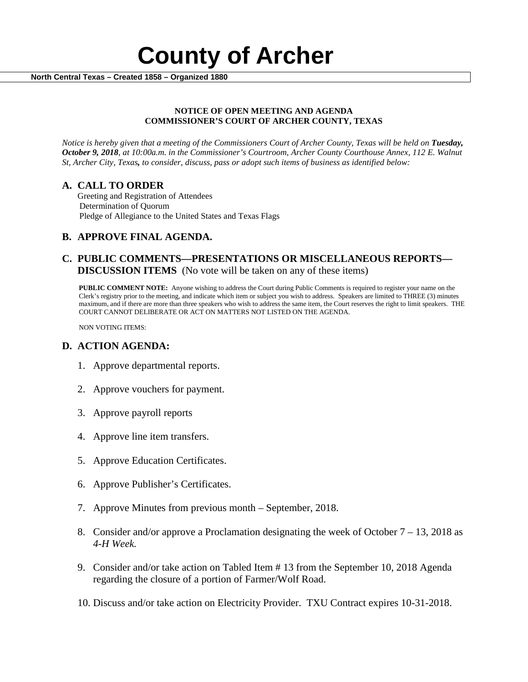

#### **NOTICE OF OPEN MEETING AND AGENDA COMMISSIONER'S COURT OF ARCHER COUNTY, TEXAS**

*Notice is hereby given that a meeting of the Commissioners Court of Archer County, Texas will be held on Tuesday, October 9, 2018, at 10:00a.m. in the Commissioner's Courtroom, Archer County Courthouse Annex, 112 E. Walnut St, Archer City, Texas, to consider, discuss, pass or adopt such items of business as identified below:*

**A. CALL TO ORDER** Greeting and Registration of Attendees Determination of Quorum Pledge of Allegiance to the United States and Texas Flags

# **B. APPROVE FINAL AGENDA.**

# **C. PUBLIC COMMENTS—PRESENTATIONS OR MISCELLANEOUS REPORTS— DISCUSSION ITEMS** (No vote will be taken on any of these items)

**PUBLIC COMMENT NOTE:** Anyone wishing to address the Court during Public Comments is required to register your name on the Clerk's registry prior to the meeting, and indicate which item or subject you wish to address. Speakers are limited to THREE (3) minutes maximum, and if there are more than three speakers who wish to address the same item, the Court reserves the right to limit speakers. THE COURT CANNOT DELIBERATE OR ACT ON MATTERS NOT LISTED ON THE AGENDA.

NON VOTING ITEMS:

### **D. ACTION AGENDA:**

- 1. Approve departmental reports.
- 2. Approve vouchers for payment.
- 3. Approve payroll reports
- 4. Approve line item transfers.
- 5. Approve Education Certificates.
- 6. Approve Publisher's Certificates.
- 7. Approve Minutes from previous month September, 2018.
- 8. Consider and/or approve a Proclamation designating the week of October  $7 13$ , 2018 as *4-H Week.*
- 9. Consider and/or take action on Tabled Item # 13 from the September 10, 2018 Agenda regarding the closure of a portion of Farmer/Wolf Road.
- 10. Discuss and/or take action on Electricity Provider. TXU Contract expires 10-31-2018.